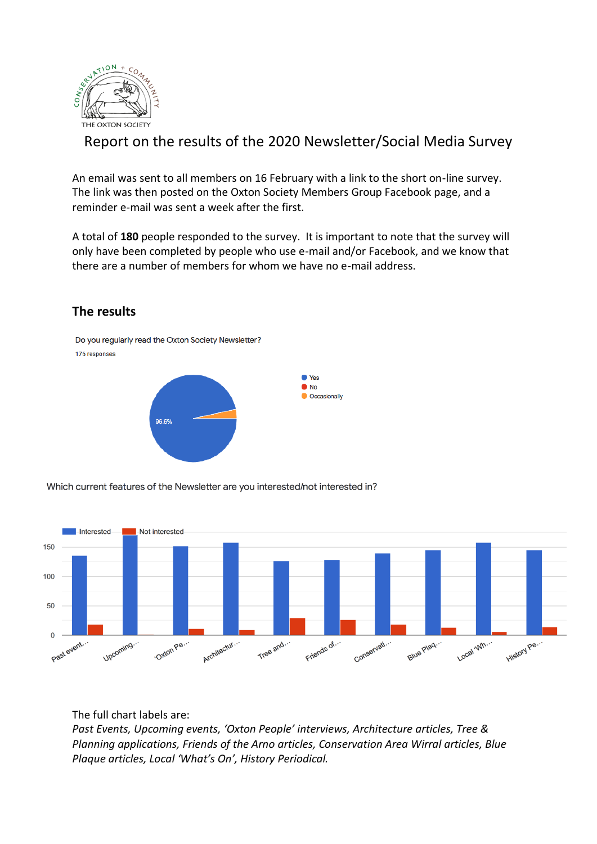

# Report on the results of the 2020 Newsletter/Social Media Survey

An email was sent to all members on 16 February with a link to the short on-line survey. The link was then posted on the Oxton Society Members Group Facebook page, and a reminder e-mail was sent a week after the first.

A total of **180** people responded to the survey. It is important to note that the survey will only have been completed by people who use e-mail and/or Facebook, and we know that there are a number of members for whom we have no e-mail address.



### **The results**

Which current features of the Newsletter are you interested/not interested in?



The full chart labels are:

*Past Events, Upcoming events, 'Oxton People' interviews, Architecture articles, Tree & Planning applications, Friends of the Arno articles, Conservation Area Wirral articles, Blue Plaque articles, Local 'What's On', History Periodical.*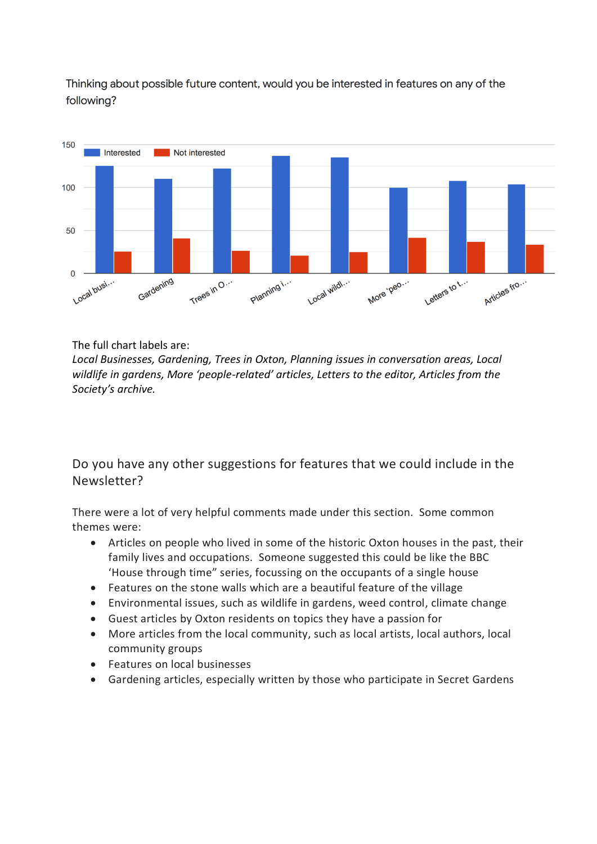Thinking about possible future content, would you be interested in features on any of the following?



The full chart labels are:

*Local Businesses, Gardening, Trees in Oxton, Planning issues in conversation areas, Local wildlife in gardens, More 'people-related' articles, Letters to the editor, Articles from the Society's archive.*

Do you have any other suggestions for features that we could include in the Newsletter?

There were a lot of very helpful comments made under this section. Some common themes were:

- Articles on people who lived in some of the historic Oxton houses in the past, their family lives and occupations. Someone suggested this could be like the BBC 'House through time" series, focussing on the occupants of a single house
- Features on the stone walls which are a beautiful feature of the village
- Environmental issues, such as wildlife in gardens, weed control, climate change
- Guest articles by Oxton residents on topics they have a passion for
- More articles from the local community, such as local artists, local authors, local community groups
- Features on local businesses
- Gardening articles, especially written by those who participate in Secret Gardens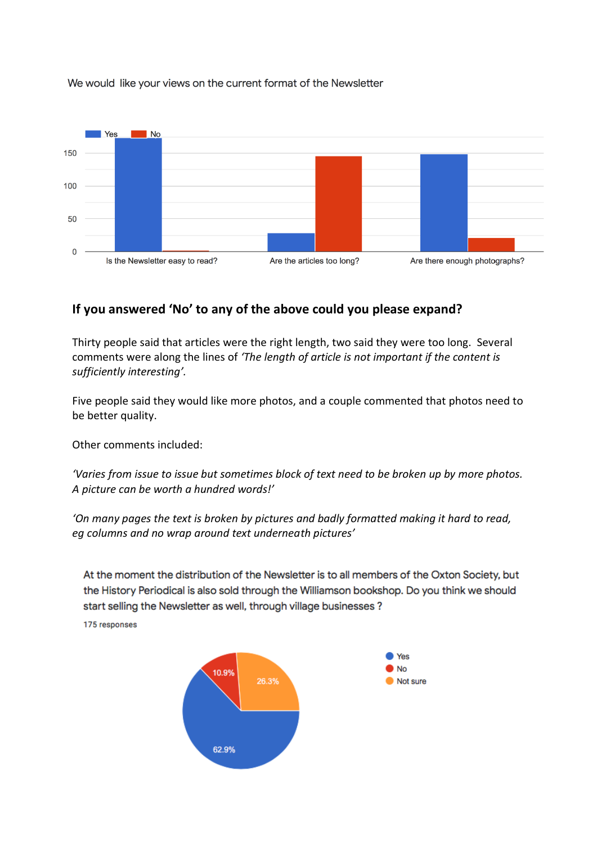We would like your views on the current format of the Newsletter



# **If you answered 'No' to any of the above could you please expand?**

Thirty people said that articles were the right length, two said they were too long. Several comments were along the lines of *'The length of article is not important if the content is sufficiently interesting'.*

Five people said they would like more photos, and a couple commented that photos need to be better quality.

Other comments included:

*'Varies from issue to issue but sometimes block of text need to be broken up by more photos. A picture can be worth a hundred words!'*

*'On many pages the text is broken by pictures and badly formatted making it hard to read, eg columns and no wrap around text underneath pictures'*

At the moment the distribution of the Newsletter is to all members of the Oxton Society, but the History Periodical is also sold through the Williamson bookshop. Do you think we should start selling the Newsletter as well, through village businesses?

175 responses

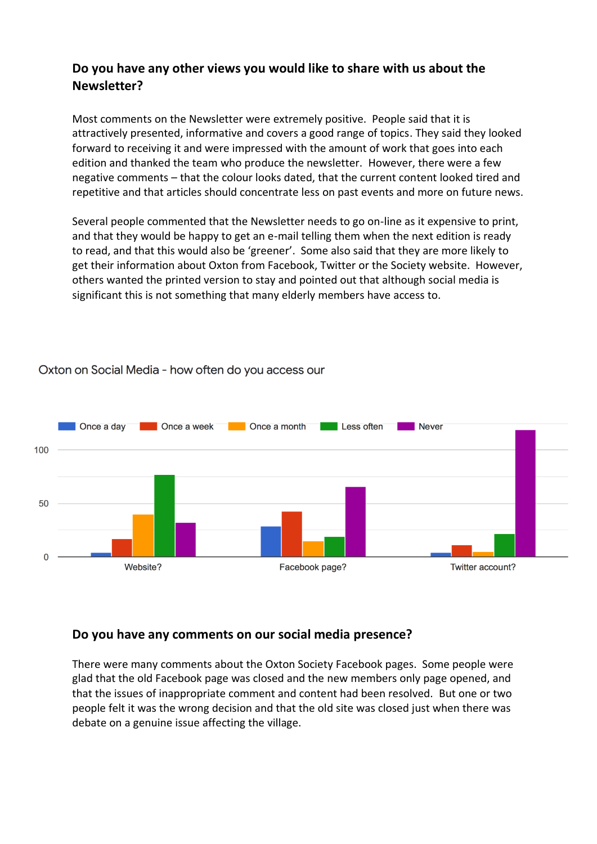# **Do you have any other views you would like to share with us about the Newsletter?**

Most comments on the Newsletter were extremely positive. People said that it is attractively presented, informative and covers a good range of topics. They said they looked forward to receiving it and were impressed with the amount of work that goes into each edition and thanked the team who produce the newsletter. However, there were a few negative comments – that the colour looks dated, that the current content looked tired and repetitive and that articles should concentrate less on past events and more on future news.

Several people commented that the Newsletter needs to go on-line as it expensive to print, and that they would be happy to get an e-mail telling them when the next edition is ready to read, and that this would also be 'greener'. Some also said that they are more likely to get their information about Oxton from Facebook, Twitter or the Society website. However, others wanted the printed version to stay and pointed out that although social media is significant this is not something that many elderly members have access to.



#### Oxton on Social Media - how often do you access our

### **Do you have any comments on our social media presence?**

There were many comments about the Oxton Society Facebook pages. Some people were glad that the old Facebook page was closed and the new members only page opened, and that the issues of inappropriate comment and content had been resolved. But one or two people felt it was the wrong decision and that the old site was closed just when there was debate on a genuine issue affecting the village.